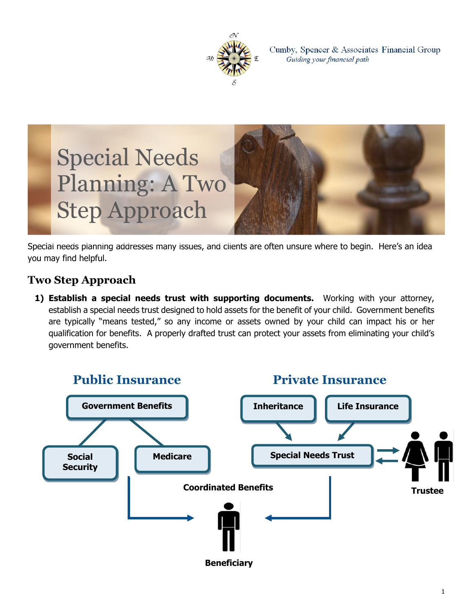

Cumby, Spencer & Associates Financial Group Guiding your financial path



Special needs planning addresses many issues, and clients are often unsure where to begin. Here's an idea you may find helpful.

## **Two Step Approach**

**1) Establish a special needs trust with supporting documents.** Working with your attorney, establish a special needs trust designed to hold assets for the benefit of your child. Government benefits are typically "means tested," so any income or assets owned by your child can impact his or her qualification for benefits. A properly drafted trust can protect your assets from eliminating your child's government benefits.

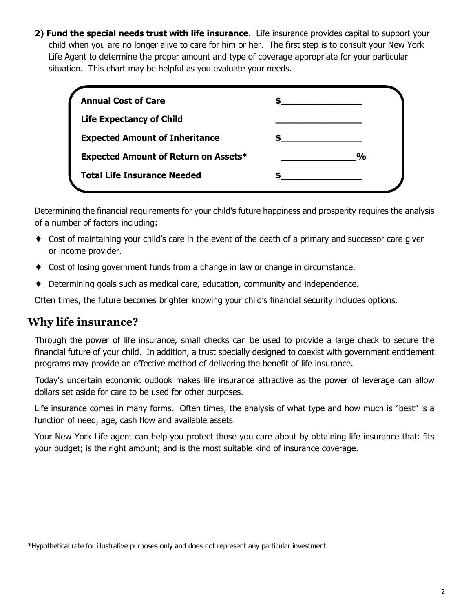**2) Fund the special needs trust with life insurance.** Life insurance provides capital to support your child when you are no longer alive to care for him or her. The first step is to consult your New York Life Agent to determine the proper amount and type of coverage appropriate for your particular situation. This chart may be helpful as you evaluate your needs.

| <b>Annual Cost of Care</b>                  |               |
|---------------------------------------------|---------------|
| <b>Life Expectancy of Child</b>             |               |
| <b>Expected Amount of Inheritance</b>       |               |
| <b>Expected Amount of Return on Assets*</b> | $\frac{1}{2}$ |
| <b>Total Life Insurance Needed</b>          |               |

Determining the financial requirements for your child's future happiness and prosperity requires the analysis of a number of factors including:

- ♦ Cost of maintaining your child's care in the event of the death of a primary and successor care giver or income provider.
- ♦ Cost of losing government funds from a change in law or change in circumstance.
- ♦ Determining goals such as medical care, education, community and independence.

Often times, the future becomes brighter knowing your child's financial security includes options.

## **Why life insurance?**

Through the power of life insurance, small checks can be used to provide a large check to secure the financial future of your child. In addition, a trust specially designed to coexist with government entitlement programs may provide an effective method of delivering the benefit of life insurance.

Today's uncertain economic outlook makes life insurance attractive as the power of leverage can allow dollars set aside for care to be used for other purposes.

Life insurance comes in many forms. Often times, the analysis of what type and how much is "best" is a function of need, age, cash flow and available assets.

Your New York Life agent can help you protect those you care about by obtaining life insurance that: fits your budget; is the right amount; and is the most suitable kind of insurance coverage.

<sup>\*</sup>Hypothetical rate for illustrative purposes only and does not represent any particular investment.